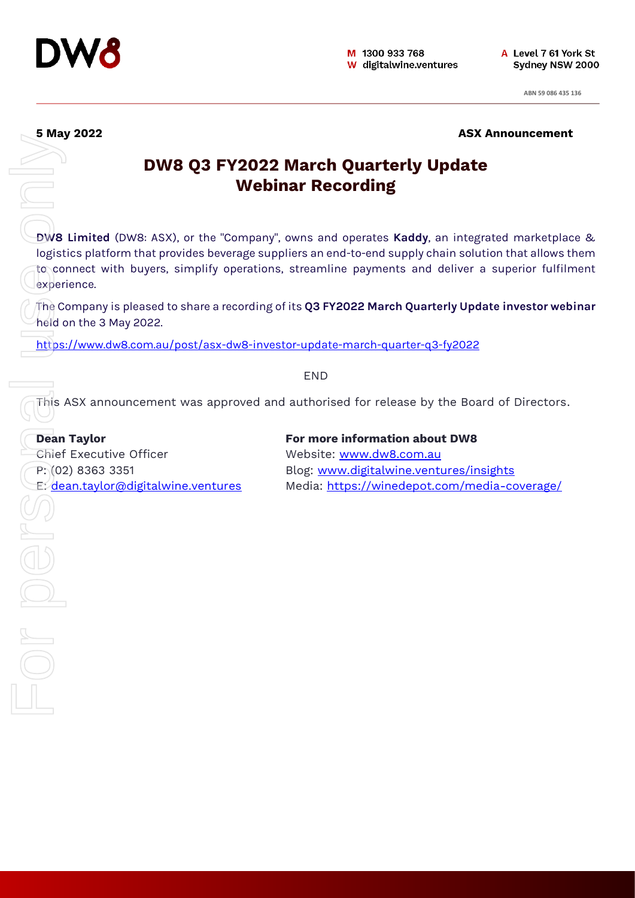

 $\overline{\text{OPT}}$ 

**5** May 2022 **ASX Announcement** 

# **DW8 Q3 FY2022 March Quarterly Update Webinar Recording**

**DW8 Limited** (DW8: ASX), or the "Company", owns and operates **Kaddy**, an integrated marketplace & logistics platform that provides beverage suppliers an end-to-end supply chain solution that allows them to connect with buyers, simplify operations, streamline payments and deliver a superior fulfilment experience.

The Company is pleased to share a recording of its **Q3 FY2022 March Quarterly Update investor webinar** held on the 3 May 2022.

<https://www.dw8.com.au/post/asx-dw8-investor-update-march-quarter-q3-fy2022>

END

This ASX announcement was approved and authorised for release by the Board of Directors.

**Dean Taylor For more information about DW8** Chief Executive Officer Website: [www.dw8.com.au](http://www.dw8.com.au/) For Personal USE on the Condensation of the Condensation of the Condensation of the Condensation of the Condensation of the Condensation of the Condensation of the Condensation of the Condensation of the Condensation of th

P: (02) 8363 3351 Blog: [www.digitalwine.ventures/insights](http://www.digitalwine.ventures/insights) E: [dean.taylor@digitalwine.ventures](mailto:dean.taylor@digitalwine.ventures) Media: <https://winedepot.com/media-coverage/>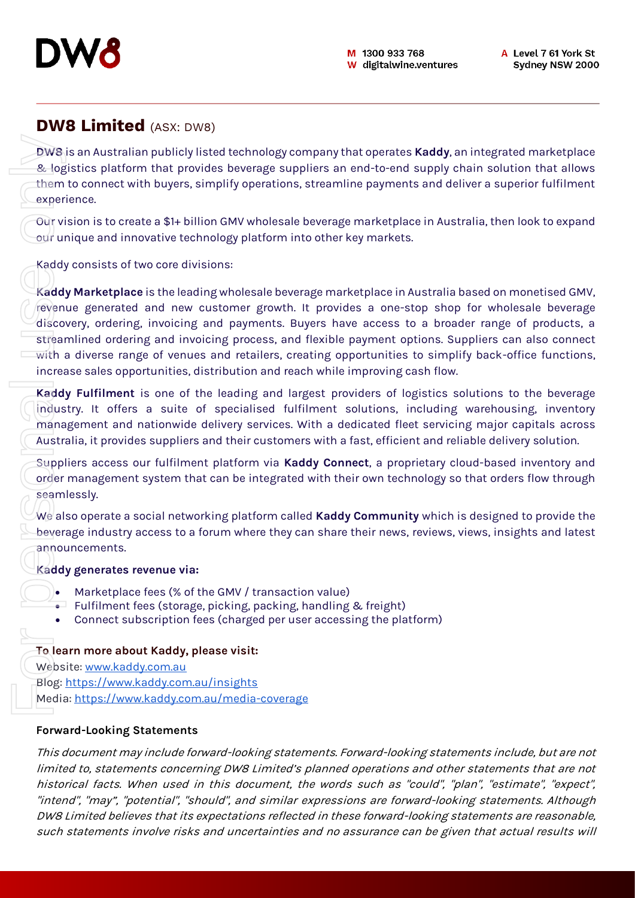

## **DW8 Limited** (ASX: DW8)

**DW8** is an Australian publicly listed technology company that operates **Kaddy**, an integrated marketplace & logistics platform that provides beverage suppliers an end-to-end supply chain solution that allows them to connect with buyers, simplify operations, streamline payments and deliver a superior fulfilment experience.

Our vision is to create a \$1+ billion GMV wholesale beverage marketplace in Australia, then look to expand our unique and innovative technology platform into other key markets.

Kaddy consists of two core divisions:

**Kaddy Marketplace** is the leading wholesale beverage marketplace in Australia based on monetised GMV, revenue generated and new customer growth. It provides a one-stop shop for wholesale beverage discovery, ordering, invoicing and payments. Buyers have access to a broader range of products, a streamlined ordering and invoicing process, and flexible payment options. Suppliers can also connect  $\overline{with}$  a diverse range of venues and retailers, creating opportunities to simplify back-office functions, increase sales opportunities, distribution and reach while improving cash flow. such a statements in the state of the state of the state of the state of the state of the state of the state of the state of the state of the state of the state of the state of the state of the state of the state of the s

**Kaddy Fulfilment** is one of the leading and largest providers of logistics solutions to the beverage industry. It offers a suite of specialised fulfilment solutions, including warehousing, inventory management and nationwide delivery services. With a dedicated fleet servicing major capitals across Australia, it provides suppliers and their customers with a fast, efficient and reliable delivery solution.

Suppliers access our fulfilment platform via **Kaddy Connect**, a proprietary cloud-based inventory and order management system that can be integrated with their own technology so that orders flow through seamlessly.

We also operate a social networking platform called **Kaddy Community** which is designed to provide the beverage industry access to a forum where they can share their news, reviews, views, insights and latest announcements.

## **Kaddy generates revenue via:**

- Marketplace fees (% of the GMV / transaction value)
- Fulfilment fees (storage, picking, packing, handling & freight)
- Connect subscription fees (charged per user accessing the platform)

## **To learn more about Kaddy, please visit:**

Website: [www.kaddy.com.au](http://www.kaddy.com.au/)

Blog:<https://www.kaddy.com.au/insights>

Media:<https://www.kaddy.com.au/media-coverage>

## **Forward-Looking Statements**

This document may include forward-looking statements. Forward-looking statements include, but are not limited to, statements concerning DW8 Limited's planned operations and other statements that are not historical facts. When used in this document, the words such as "could", "plan", "estimate", "expect", "intend", "may", "potential", "should", and similar expressions are forward-looking statements. Although DW8 Limited believes that its expectations reflected in these forward-looking statements are reasonable,